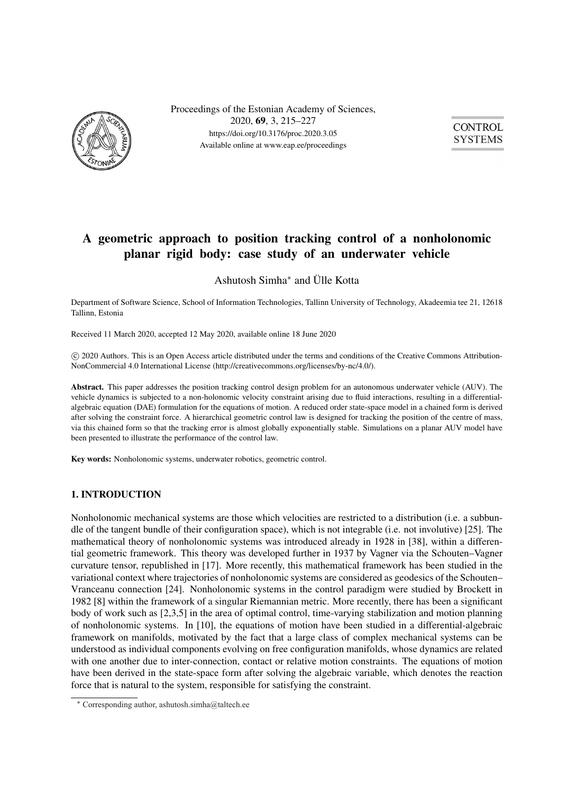

Proceedings of the Estonian Academy of Sciences, 2020, 69, 3, 215–227 https://doi.org/10.3176/proc.2020.3.05 Available online at www.eap.ee/proceedings



# a geometric approach to position the position of a non-tracking control of a non-tracking control of a non-tracking control of a non-tracking control of a non-tracking control of a non-tracking control of  $\frac{1}{2}$  and  $\frac$  $\mathbf{p}$  and  $\mathbf{p}$  respectively. Case study of an underwater vehicle vehicle

Ashutosh Simha<sup>∗</sup> and Ülle Kotta

Department of Software Science, School of Information Technologies, Tallinn University of Technology, Akadeemia tee 21, 12618 Tallinn, Estonia

Received 11 March 2020, accepted 12 May 2020, available online 18 June 2020

c 2020 Authors. This is an Open Access article distributed under the terms and conditions of the Creative Commons Attribution-NonCommercial 4.0 International License (http://creativecommons.org/licenses/by-nc/4.0/).

Abstract. This paper addresses the position tracking control design problem for an autonomous underwater vehicle (AUV). The vehicle dynamics is subjected to a non-holonomic velocity constraint arising due to fluid interactions, resulting in a differentialalgebraic equation (DAE) formulation for the equations of motion. A reduced order state-space model in a chained form is derived after solving the constraint force. A hierarchical geometric control law is designed for tracking the position of the centre of mass, via this chained form so that the tracking error is almost globally exponentially stable. Simulations on a planar AUV model have been presented to illustrate the performance of the control law.

Key words: Nonholonomic systems, underwater robotics, geometric control.

#### 1. INTRODUCTION

Nonholonomic mechanical systems are those which velocities are restricted to a distribution (i.e. a subbundle of the tangent bundle of their configuration space), which is not integrable (i.e. not involutive) [25]. The mathematical theory of nonholonomic systems was introduced already in 1928 in [38], within a differential geometric framework. This theory was developed further in 1937 by Vagner via the Schouten–Vagner curvature tensor, republished in [17]. More recently, this mathematical framework has been studied in the variational context where trajectories of nonholonomic systems are considered as geodesics of the Schouten– Vranceanu connection [24]. Nonholonomic systems in the control paradigm were studied by Brockett in 1982 [8] within the framework of a singular Riemannian metric. More recently, there has been a significant body of work such as [2,3,5] in the area of optimal control, time-varying stabilization and motion planning of nonholonomic systems. In [10], the equations of motion have been studied in a differential-algebraic framework on manifolds, motivated by the fact that a large class of complex mechanical systems can be understood as individual components evolving on free configuration manifolds, whose dynamics are related with one another due to inter-connection, contact or relative motion constraints. The equations of motion have been derived in the state-space form after solving the algebraic variable, which denotes the reaction force that is natural to the system, responsible for satisfying the constraint.

<sup>∗</sup> Corresponding author, ashutosh.simha@taltech.ee Corresponding author, ashutosh.simha@taltech.ee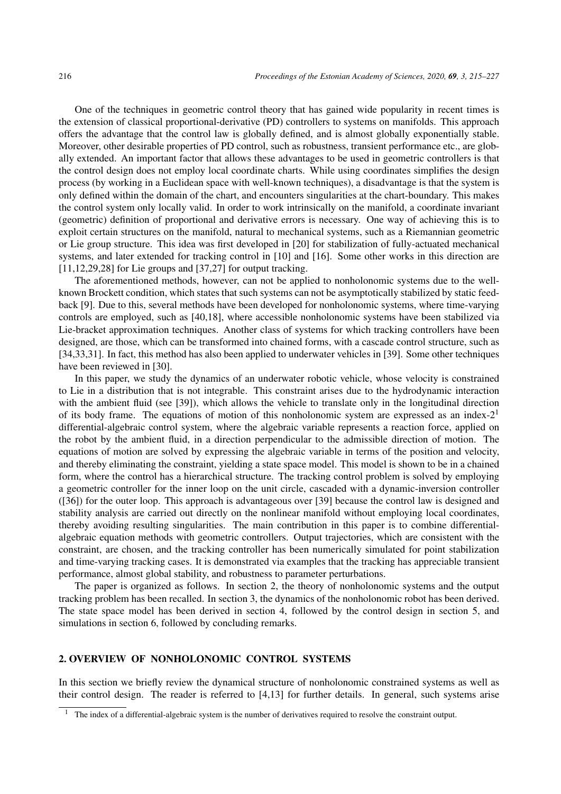One of the techniques in geometric control theory that has gained wide popularity in recent times is the extension of classical proportional-derivative (PD) controllers to systems on manifolds. This approach offers the advantage that the control law is globally defined, and is almost globally exponentially stable. Moreover, other desirable properties of PD control, such as robustness, transient performance etc., are globally extended. An important factor that allows these advantages to be used in geometric controllers is that the control design does not employ local coordinate charts. While using coordinates simplifies the design process (by working in a Euclidean space with well-known techniques), a disadvantage is that the system is only defined within the domain of the chart, and encounters singularities at the chart-boundary. This makes the control system only locally valid. In order to work intrinsically on the manifold, a coordinate invariant (geometric) definition of proportional and derivative errors is necessary. One way of achieving this is to exploit certain structures on the manifold, natural to mechanical systems, such as a Riemannian geometric or Lie group structure. This idea was first developed in [20] for stabilization of fully-actuated mechanical systems, and later extended for tracking control in [10] and [16]. Some other works in this direction are  $[11,12,29,28]$  for Lie groups and  $[37,27]$  for output tracking.

The aforementioned methods, however, can not be applied to nonholonomic systems due to the wellknown Brockett condition, which states that such systems can not be asymptotically stabilized by static feedback [9]. Due to this, several methods have been developed for nonholonomic systems, where time-varying controls are employed, such as [40,18], where accessible nonholonomic systems have been stabilized via Lie-bracket approximation techniques. Another class of systems for which tracking controllers have been designed, are those, which can be transformed into chained forms, with a cascade control structure, such as [34,33,31]. In fact, this method has also been applied to underwater vehicles in [39]. Some other techniques have been reviewed in [30].

In this paper, we study the dynamics of an underwater robotic vehicle, whose velocity is constrained to Lie in a distribution that is not integrable. This constraint arises due to the hydrodynamic interaction with the ambient fluid (see [39]), which allows the vehicle to translate only in the longitudinal direction of its body frame. The equations of motion of this nonholonomic system are expressed as an index- $2<sup>1</sup>$ differential-algebraic control system, where the algebraic variable represents a reaction force, applied on the robot by the ambient fluid, in a direction perpendicular to the admissible direction of motion. The equations of motion are solved by expressing the algebraic variable in terms of the position and velocity, and thereby eliminating the constraint, yielding a state space model. This model is shown to be in a chained form, where the control has a hierarchical structure. The tracking control problem is solved by employing a geometric controller for the inner loop on the unit circle, cascaded with a dynamic-inversion controller ([36]) for the outer loop. This approach is advantageous over [39] because the control law is designed and stability analysis are carried out directly on the nonlinear manifold without employing local coordinates, thereby avoiding resulting singularities. The main contribution in this paper is to combine differentialalgebraic equation methods with geometric controllers. Output trajectories, which are consistent with the constraint, are chosen, and the tracking controller has been numerically simulated for point stabilization and time-varying tracking cases. It is demonstrated via examples that the tracking has appreciable transient performance, almost global stability, and robustness to parameter perturbations.

The paper is organized as follows. In section 2, the theory of nonholonomic systems and the output tracking problem has been recalled. In section 3, the dynamics of the nonholonomic robot has been derived. The state space model has been derived in section 4, followed by the control design in section 5, and simulations in section 6, followed by concluding remarks.

#### 2. OVERVIEW OF NONHOLONOMIC CONTROL SYSTEMS

In this section we briefly review the dynamical structure of nonholonomic constrained systems as well as their control design. The reader is referred to [4,13] for further details. In general, such systems arise

 $1$  The index of a differential-algebraic system is the number of derivatives required to resolve the constraint output.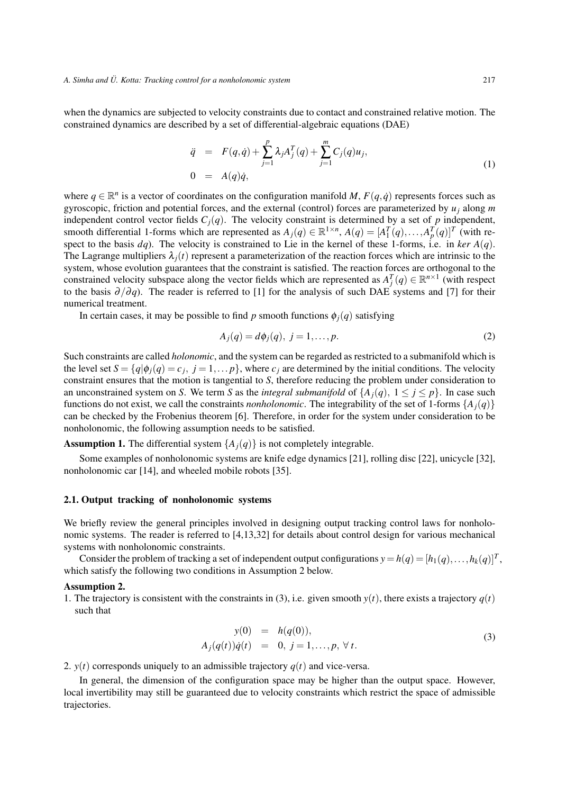when the dynamics are subjected to velocity constraints due to contact and constrained relative motion. The constrained dynamics are described by a set of differential-algebraic equations (DAE)

$$
\ddot{q} = F(q, \dot{q}) + \sum_{j=1}^{p} \lambda_j A_j^T(q) + \sum_{j=1}^{m} C_j(q) u_j,
$$
  
\n
$$
0 = A(q) \dot{q},
$$
\n(1)

where  $q \in \mathbb{R}^n$  is a vector of coordinates on the configuration manifold *M*,  $F(q, \dot{q})$  represents forces such as gyroscopic, friction and potential forces, and the external (control) forces are parameterized by *uj* along *m* independent control vector fields  $C_i(q)$ . The velocity constraint is determined by a set of *p* independent, smooth differential 1-forms which are represented as  $A_j(q) \in \mathbb{R}^{1 \times n}$ ,  $A(q) = [A_1^T(q), \ldots, A_p^T(q)]^T$  (with respect to the basis  $dq$ ). The velocity is constrained to Lie in the kernel of these 1-forms, i.e. in *ker*  $A(q)$ . The Lagrange multipliers  $\lambda_i(t)$  represent a parameterization of the reaction forces which are intrinsic to the system, whose evolution guarantees that the constraint is satisfied. The reaction forces are orthogonal to the constrained velocity subspace along the vector fields which are represented as  $A_j^T(q) \in \mathbb{R}^{n \times 1}$  (with respect to the basis  $\partial/\partial q$ ). The reader is referred to [1] for the analysis of such DAE systems and [7] for their numerical treatment.

In certain cases, it may be possible to find *p* smooth functions  $\phi_i(q)$  satisfying

$$
A_j(q) = d\phi_j(q), \ j = 1, \dots, p. \tag{2}
$$

Such constraints are called *holonomic*, and the system can be regarded as restricted to a submanifold which is the level set  $S = \{q | \phi_i(q) = c_j, j = 1, \dots p\}$ , where  $c_j$  are determined by the initial conditions. The velocity constraint ensures that the motion is tangential to *S*, therefore reducing the problem under consideration to an unconstrained system on *S*. We term *S* as the *integral submanifold* of  $\{A_i(q), 1 \leq j \leq p\}$ . In case such functions do not exist, we call the constraints *nonholonomic*. The integrability of the set of 1-forms  $\{A_i(q)\}$ can be checked by the Frobenius theorem [6]. Therefore, in order for the system under consideration to be nonholonomic, the following assumption needs to be satisfied.

**Assumption 1.** The differential system  $\{A_i(q)\}\$ is not completely integrable.

Some examples of nonholonomic systems are knife edge dynamics [21], rolling disc [22], unicycle [32], nonholonomic car [14], and wheeled mobile robots [35].

#### 2.1. Output tracking of nonholonomic systems

We briefly review the general principles involved in designing output tracking control laws for nonholonomic systems. The reader is referred to [4,13,32] for details about control design for various mechanical systems with nonholonomic constraints.

Consider the problem of tracking a set of independent output configurations  $y = h(q) = [h_1(q),...,h_k(q)]^T$ , which satisfy the following two conditions in Assumption 2 below.

1. The trajectory is consistent with the constraints in (3), i.e. given smooth  $y(t)$ , there exists a trajectory  $q(t)$ such that

$$
y(0) = h(q(0)), A_j(q(t))\dot{q}(t) = 0, j = 1,...,p, \forall t.
$$
 (3)

2.  $y(t)$  corresponds uniquely to an admissible trajectory  $q(t)$  and vice-versa.

In general, the dimension of the configuration space may be higher than the output space. However, local invertibility may still be guaranteed due to velocity constraints which restrict the space of admissible trajectories.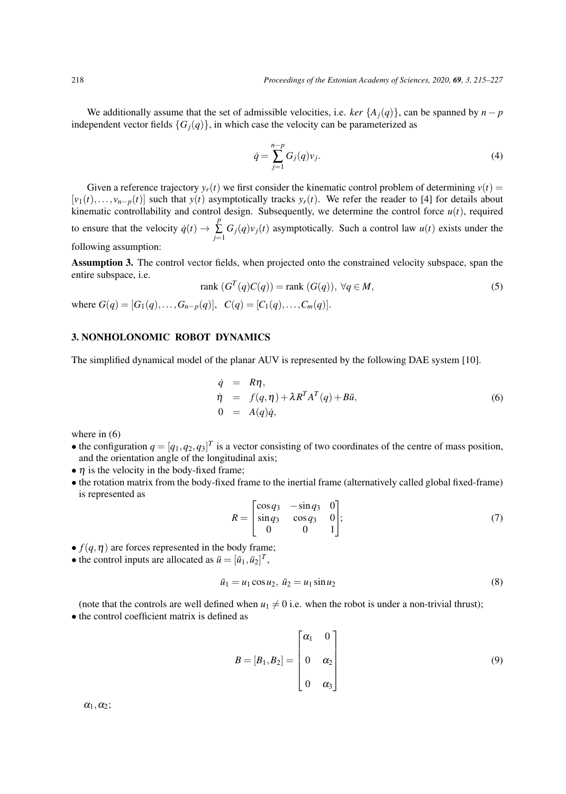We additionally assume that the set of admissible velocities, i.e. *ker*  $\{A_i(q)\}\$ , can be spanned by *n* − *p* independent vector fields  ${G<sub>i</sub>(q)}$ , in which case the velocity can be parameterized as

$$
\dot{q} = \sum_{j=1}^{n-p} G_j(q) v_j.
$$
 (4)

Given a reference trajectory  $y_r(t)$  we first consider the kinematic control problem of determining  $v(t)$  =  $[v_1(t),...,v_{n-p}(t)]$  such that  $y(t)$  asymptotically tracks  $y_r(t)$ . We refer the reader to [4] for details about kinematic controllability and control design. Subsequently, we determine the control force  $u(t)$ , required to ensure that the velocity  $\dot{q}(t) \rightarrow$ *p*  $\sum_{j=1} G_j(q)v_j(t)$  asymptotically. Such a control law  $u(t)$  exists under the following assumption:

Assumption 3. The control vector fields, when projected onto the constrained velocity subspace, span the entire subspace, i.e.

rank 
$$
(G^T(q)C(q))
$$
 = rank  $(G(q))$ ,  $\forall q \in M$ ,  
where  $G(q) = [G_1(q),...,G_{n-p}(q)], C(q) = [C_1(q),...,C_m(q)].$  (5)

#### 3. NONHOLONOMIC ROBOT DYNAMICS

The simplified dynamical model of the planar AUV is represented by the following DAE system [10].

$$
\dot{q} = R\eta,
$$
  
\n
$$
\dot{\eta} = f(q, \eta) + \lambda R^T A^T(q) + B\bar{u},
$$
  
\n
$$
0 = A(q)\dot{q},
$$
\n(6)

where in  $(6)$ 

- the configuration  $q = [q_1, q_2, q_3]^T$  is a vector consisting of two coordinates of the centre of mass position, and the orientation angle of the longitudinal axis;
- $\eta$  is the velocity in the body-fixed frame;
- the rotation matrix from the body-fixed frame to the inertial frame (alternatively called global fixed-frame) is represented as

$$
R = \begin{bmatrix} \cos q_3 & -\sin q_3 & 0 \\ \sin q_3 & \cos q_3 & 0 \\ 0 & 0 & 1 \end{bmatrix};
$$
 (7)

•  $f(q, \eta)$  are forces represented in the body frame;

• the control inputs are allocated as  $\bar{u} = [\bar{u}_1, \bar{u}_2]^T$ ,

$$
\bar{u}_1 = u_1 \cos u_2, \ \bar{u}_2 = u_1 \sin u_2 \tag{8}
$$

(note that the controls are well defined when  $u_1 \neq 0$  i.e. when the robot is under a non-trivial thrust);

• the control coefficient matrix is defined as

$$
B = [B_1, B_2] = \begin{bmatrix} \alpha_1 & 0 \\ 0 & \alpha_2 \\ 0 & \alpha_3 \end{bmatrix}
$$
 (9)

 $\alpha_1, \alpha_2;$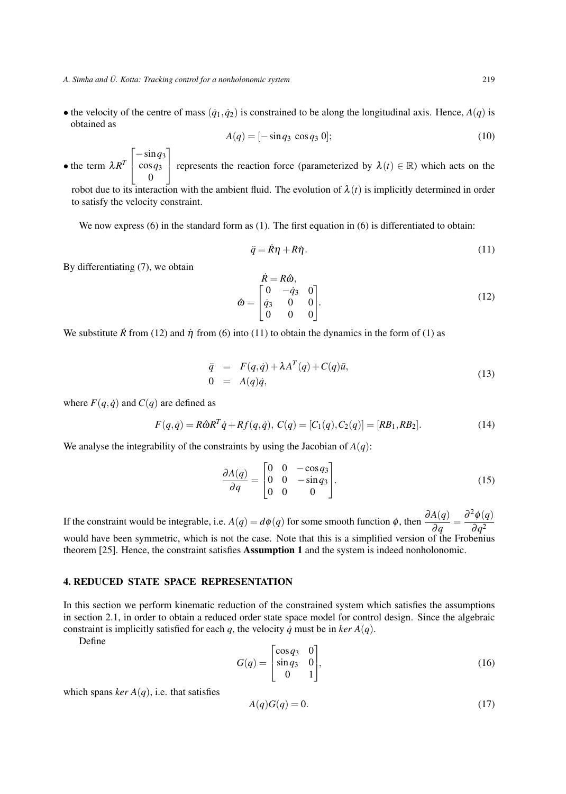• the velocity of the centre of mass  $(q_1, q_2)$  is constrained to be along the longitudinal axis. Hence,  $A(q)$  is obtained as

$$
A(q) = [-\sin q_3 \cos q_3 0];
$$
 (10)

• the term  $\lambda R^T$  $\lceil$  $\overline{\phantom{a}}$  $-\sin q_3$ cos*q*<sup>3</sup> 0 ⎤ represents the reaction force (parameterized by  $\lambda(t) \in \mathbb{R}$ ) which acts on the

robot due to its interaction with the ambient fluid. The evolution of  $\lambda(t)$  is implicitly determined in order to satisfy the velocity constraint.

We now express (6) in the standard form as (1). The first equation in (6) is differentiated to obtain:

$$
\ddot{q} = \dot{R}\eta + R\dot{\eta}.\tag{11}
$$

By differentiating (7), we obtain

$$
\hat{\alpha} = \begin{bmatrix} \dot{R} = R\hat{\omega}, \\ \dot{q}_3 & 0 & 0 \\ 0 & 0 & 0 \end{bmatrix}.
$$
\n(12)

We substitute  $\hat{R}$  from (12) and  $\hat{\eta}$  from (6) into (11) to obtain the dynamics in the form of (1) as

$$
\ddot{q} = F(q, \dot{q}) + \lambda A^T(q) + C(q)\bar{u},
$$
  
\n
$$
0 = A(q)\dot{q},
$$
\n(13)

where  $F(q, \dot{q})$  and  $C(q)$  are defined as

$$
F(q, \dot{q}) = R\hat{\omega}R^{T}\dot{q} + Rf(q, \dot{q}), C(q) = [C_{1}(q), C_{2}(q)] = [RB_{1}, RB_{2}].
$$
\n(14)

We analyse the integrability of the constraints by using the Jacobian of  $A(q)$ :

$$
\frac{\partial A(q)}{\partial q} = \begin{bmatrix} 0 & 0 & -\cos q_3 \\ 0 & 0 & -\sin q_3 \\ 0 & 0 & 0 \end{bmatrix} . \tag{15}
$$

If the constraint would be integrable, i.e.  $A(q) = d\phi(q)$  for some smooth function  $\phi$ , then  $\frac{\partial A(q)}{\partial q} = \frac{\partial^2 \phi(q)}{\partial q^2}$ would have been symmetric, which is not the case. Note that this is a simplified version of the Frobenius theorem [25]. Hence, the constraint satisfies Assumption 1 and the system is indeed nonholonomic.

#### 4. REDUCED STATE SPACE REPRESENTATION

In this section we perform kinematic reduction of the constrained system which satisfies the assumptions in section 2.1, in order to obtain a reduced order state space model for control design. Since the algebraic constraint is implicitly satisfied for each *q*, the velocity *q* must be in *ker*  $A(q)$ .

Define

$$
G(q) = \begin{bmatrix} \cos q_3 & 0 \\ \sin q_3 & 0 \\ 0 & 1 \end{bmatrix},\tag{16}
$$

which spans  $ker A(q)$ , i.e. that satisfies

$$
A(q)G(q) = 0.\t(17)
$$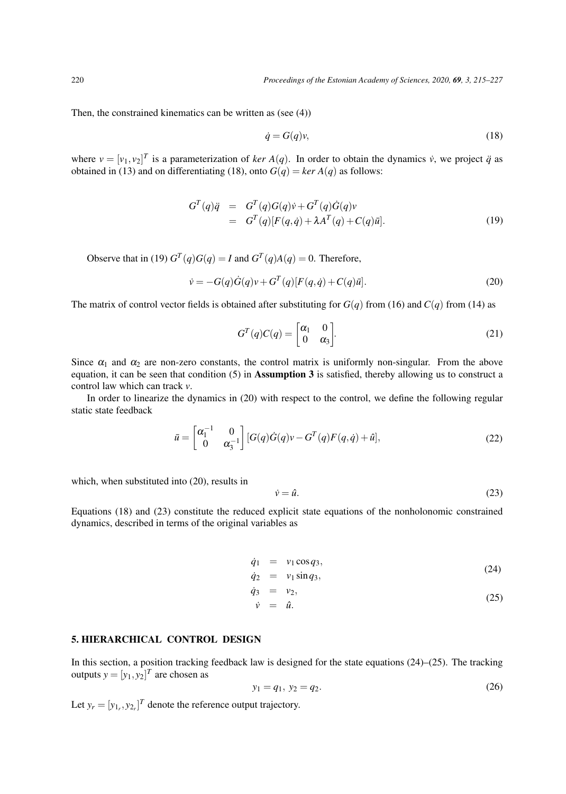Then, the constrained kinematics can be written as (see (4))

$$
\dot{q} = G(q)v,\tag{18}
$$

where  $v = [v_1, v_2]^T$  is a parameterization of *ker*  $A(q)$ . In order to obtain the dynamics  $\dot{v}$ , we project  $\ddot{q}$  as obtained in (13) and on differentiating (18), onto  $G(q) = \text{ker } A(q)$  as follows:

$$
G^{T}(q)\ddot{q} = G^{T}(q)G(q)\dot{v} + G^{T}(q)\dot{G}(q)v
$$
  
= 
$$
G^{T}(q)[F(q,\dot{q}) + \lambda A^{T}(q) + C(q)\ddot{u}].
$$
 (19)

Observe that in (19)  $G^T(q)G(q) = I$  and  $G^T(q)A(q) = 0$ . Therefore,

$$
\dot{v} = -G(q)\dot{G}(q)v + G^{T}(q)[F(q, \dot{q}) + C(q)\bar{u}].
$$
\n(20)

The matrix of control vector fields is obtained after substituting for  $G(q)$  from (16) and  $C(q)$  from (14) as

$$
G^{T}(q)C(q) = \begin{bmatrix} \alpha_1 & 0\\ 0 & \alpha_3 \end{bmatrix}.
$$
 (21)

Since  $\alpha_1$  and  $\alpha_2$  are non-zero constants, the control matrix is uniformly non-singular. From the above equation, it can be seen that condition (5) in Assumption 3 is satisfied, thereby allowing us to construct a control law which can track *v*.

In order to linearize the dynamics in (20) with respect to the control, we define the following regular static state feedback

$$
\bar{u} = \begin{bmatrix} \alpha_1^{-1} & 0\\ 0 & \alpha_3^{-1} \end{bmatrix} [G(q)\dot{G}(q)v - G^T(q)F(q, \dot{q}) + \hat{u}], \tag{22}
$$

which, when substituted into  $(20)$ , results in

$$
\dot{\nu} = \hat{u}.\tag{23}
$$

Equations (18) and (23) constitute the reduced explicit state equations of the nonholonomic constrained dynamics, described in terms of the original variables as

$$
\dot{q}_1 = v_1 \cos q_3, \n\dot{q}_2 = v_1 \sin q_3,
$$
\n(24)

$$
\dot{q}_3 = v_2, \n\dot{v} = \hat{u}.
$$
\n(25)

#### 5. HIERARCHICAL CONTROL DESIGN

In this section, a position tracking feedback law is designed for the state equations (24)–(25). The tracking outputs  $y = [y_1, y_2]^T$  are chosen as

$$
y_1 = q_1, \ y_2 = q_2. \tag{26}
$$

Let  $y_r = [y_{1_r}, y_{2_r}]^T$  denote the reference output trajectory.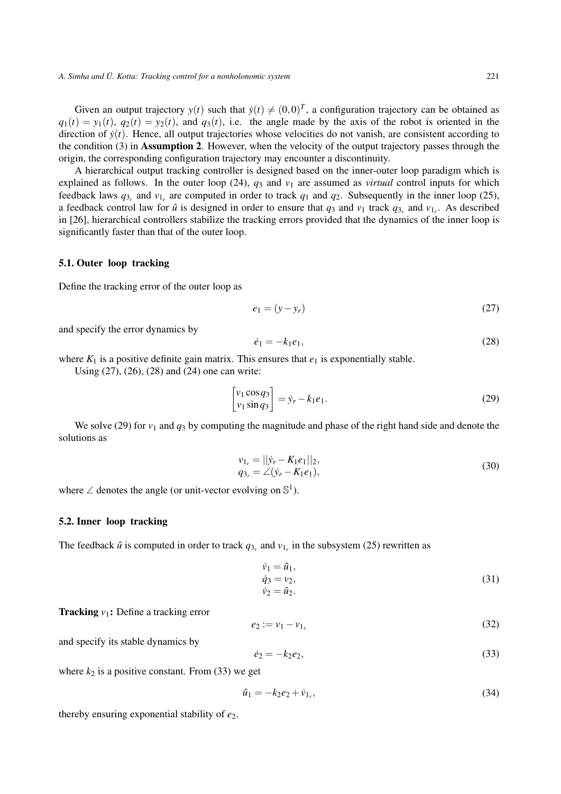Given an output trajectory  $y(t)$  such that  $\dot{y}(t) \neq (0,0)^T$ , a configuration trajectory can be obtained as  $q_1(t) = y_1(t)$ ,  $q_2(t) = y_2(t)$ , and  $q_3(t)$ , i.e. the angle made by the axis of the robot is oriented in the direction of  $\dot{y}(t)$ . Hence, all output trajectories whose velocities do not vanish, are consistent according to the condition (3) in Assumption 2. However, when the velocity of the output trajectory passes through the origin, the corresponding configuration trajectory may encounter a discontinuity.

A hierarchical output tracking controller is designed based on the inner-outer loop paradigm which is explained as follows. In the outer loop  $(24)$ ,  $q_3$  and  $v_1$  are assumed as *virtual* control inputs for which feedback laws  $q_{3r}$  and  $v_{1r}$  are computed in order to track  $q_1$  and  $q_2$ . Subsequently in the inner loop (25), a feedback control law for  $\hat{u}$  is designed in order to ensure that  $q_3$  and  $v_1$  track  $q_{3r}$  and  $v_{1r}$ . As described in [26], hierarchical controllers stabilize the tracking errors provided that the dynamics of the inner loop is significantly faster than that of the outer loop.

#### 5.1. Outer loop tracking

Define the tracking error of the outer loop as

$$
e_1 = (y - y_r) \tag{27}
$$

and specify the error dynamics by

$$
\dot{e}_1 = -k_1 e_1,\tag{28}
$$

where  $K_1$  is a positive definite gain matrix. This ensures that  $e_1$  is exponentially stable.

Using (27), (26), (28) and (24) one can write:

$$
\begin{bmatrix} v_1 \cos q_3 \\ v_1 \sin q_3 \end{bmatrix} = \dot{y}_r - k_1 e_1.
$$
 (29)

We solve (29) for  $v_1$  and  $q_3$  by computing the magnitude and phase of the right hand side and denote the solutions as

$$
\begin{aligned} v_{1_r} &= ||\dot{y}_r - K_1 e_1||_2, \\ q_{3_r} &= \angle(\dot{y}_r - K_1 e_1), \end{aligned} \tag{30}
$$

where  $\angle$  denotes the angle (or unit-vector evolving on  $\mathbb{S}^1$ ).

#### 5.2. Inner loop tracking

The feedback  $\hat{u}$  is computed in order to track  $q_{3r}$  and  $v_{1r}$  in the subsystem (25) rewritten as

$$
\dot{v}_1 = \hat{u}_1,\n\dot{q}_3 = v_2,\n\dot{v}_2 = \hat{u}_2.
$$
\n(31)

**Tracking**  $v_1$ : Define a tracking error

$$
e_2 := v_1 - v_{1_r} \tag{32}
$$

and specify its stable dynamics by

$$
\dot{e}_2 = -k_2 e_2,\tag{33}
$$

where  $k_2$  is a positive constant. From (33) we get

$$
\hat{u}_1 = -k_2 e_2 + \dot{v}_{1_r},\tag{34}
$$

thereby ensuring exponential stability of *e*2.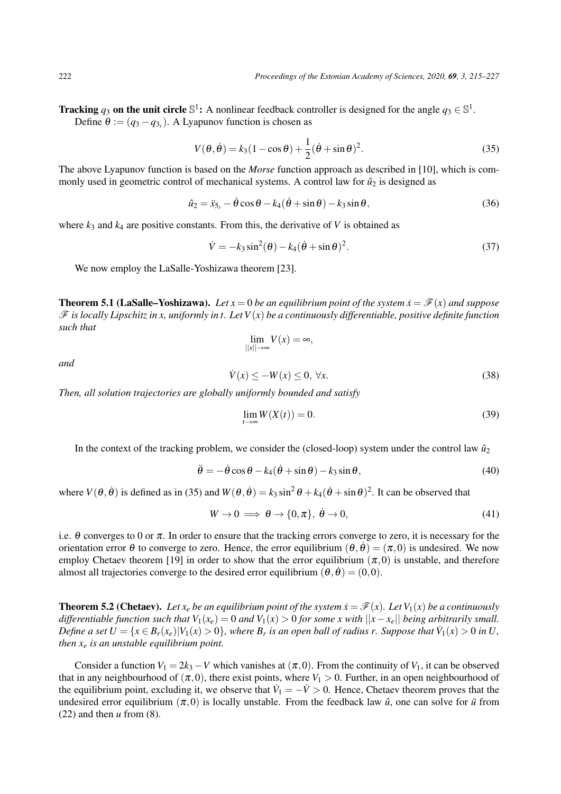**Tracking**  $q_3$  on the unit circle  $\mathbb{S}^1$ : A nonlinear feedback controller is designed for the angle  $q_3 \in \mathbb{S}^1$ . Define  $\theta := (q_3 - q_{3r})$ . A Lyapunov function is chosen as

$$
V(\theta, \dot{\theta}) = k_3(1 - \cos \theta) + \frac{1}{2}(\dot{\theta} + \sin \theta)^2.
$$
 (35)

The above Lyapunov function is based on the *Morse* function approach as described in [10], which is commonly used in geometric control of mechanical systems. A control law for  $\hat{u}_2$  is designed as

$$
\hat{u}_2 = \ddot{x}_{5_r} - \dot{\theta}\cos\theta - k_4(\dot{\theta} + \sin\theta) - k_3\sin\theta, \tag{36}
$$

where  $k_3$  and  $k_4$  are positive constants. From this, the derivative of *V* is obtained as

$$
\dot{V} = -k_3 \sin^2(\theta) - k_4 (\dot{\theta} + \sin \theta)^2.
$$
\n(37)

We now employ the LaSalle-Yoshizawa theorem [23].

**Theorem 5.1 (LaSalle–Yoshizawa).** Let  $x = 0$  be an equilibrium point of the system  $\dot{x} = \mathcal{F}(x)$  and suppose F *is locally Lipschitz in x, uniformly in t. Let V*(*x*) *be a continuously differentiable, positive definite function such that*

$$
\lim_{||x||\to\infty} V(x) = \infty,
$$

*and*

$$
\dot{V}(x) \le -W(x) \le 0, \,\forall x. \tag{38}
$$

*Then, all solution trajectories are globally uniformly bounded and satisfy*

$$
\lim_{t \to \infty} W(X(t)) = 0. \tag{39}
$$

In the context of the tracking problem, we consider the (closed-loop) system under the control law  $\hat{u}_2$ 

$$
\ddot{\theta} = -\dot{\theta}\cos\theta - k_4(\dot{\theta} + \sin\theta) - k_3\sin\theta, \tag{40}
$$

where  $V(\theta, \dot{\theta})$  is defined as in (35) and  $W(\theta, \dot{\theta}) = k_3 \sin^2 \theta + k_4(\dot{\theta} + \sin \theta)^2$ . It can be observed that

$$
W \to 0 \implies \theta \to \{0, \pi\}, \ \dot{\theta} \to 0,\tag{41}
$$

i.e.  $\theta$  converges to 0 or  $\pi$ . In order to ensure that the tracking errors converge to zero, it is necessary for the orientation error  $\theta$  to converge to zero. Hence, the error equilibrium  $(\theta, \dot{\theta}) = (\pi, 0)$  is undesired. We now employ Chetaev theorem [19] in order to show that the error equilibrium  $(\pi,0)$  is unstable, and therefore almost all trajectories converge to the desired error equilibrium  $(\theta, \dot{\theta}) = (0, 0)$ .

**Theorem 5.2 (Chetaev).** Let  $x_e$  be an equilibrium point of the system  $\dot{x} = \mathcal{F}(x)$ . Let  $V_1(x)$  be a continuously *differentiable function such that*  $V_1(x_e) = 0$  *and*  $V_1(x) > 0$  *for some x with*  $||x - x_e||$  *being arbitrarily small. Define a set*  $U = \{x \in B_r(x_e) | V_1(x) > 0\}$ , where  $B_r$  is an open ball of radius r. Suppose that  $\dot{V}_1(x) > 0$  in U, *then x<sup>e</sup> is an unstable equilibrium point.*

Consider a function  $V_1 = 2k_3 - V$  which vanishes at  $(\pi, 0)$ . From the continuity of  $V_1$ , it can be observed that in any neighbourhood of  $(\pi,0)$ , there exist points, where  $V_1 > 0$ . Further, in an open neighbourhood of the equilibrium point, excluding it, we observe that  $\dot{V}_1 = -\dot{V} > 0$ . Hence, Chetaev theorem proves that the undesired error equilibrium  $(\pi,0)$  is locally unstable. From the feedback law  $\hat{u}$ , one can solve for  $\bar{u}$  from (22) and then *u* from (8).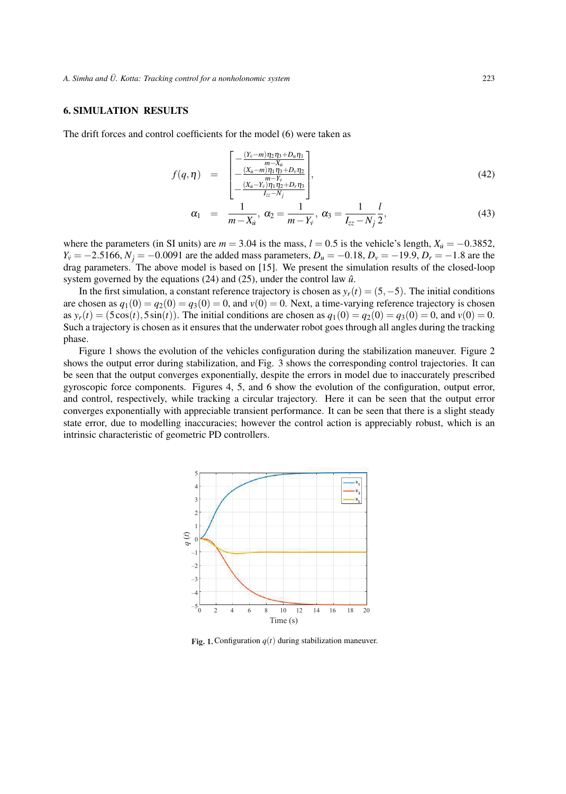#### 6. SIMULATION RESULTS

The drift forces and control coefficients for the model (6) were taken as

$$
f(q,\eta) = \begin{bmatrix} -\frac{(Y_{\nu}-m)\eta_2\eta_3 + D_u\eta_1}{m - X_u} \\ -\frac{(X_u-m)\eta_1\eta_3 + D_v\eta_2}{m - Y_v} \\ -\frac{(X_u-Y_{\nu})\eta_1\eta_2 + D_r\eta_3}{I_{zz}-N_j} \end{bmatrix},
$$
(42)

$$
\alpha_1 = \frac{1}{m - X_{\dot{u}}}, \ \alpha_2 = \frac{1}{m - Y_{\dot{v}}}, \ \alpha_3 = \frac{1}{I_{zz} - N_{\dot{y}}} \frac{l}{2}, \tag{43}
$$

where the parameters (in SI units) are  $m = 3.04$  is the mass,  $l = 0.5$  is the vehicle's length,  $X_{\dot{u}} = -0.3852$ , *Y*<sub>*i*</sub></sub> = −2.5166, *N*<sup>*j*</sup> = −0.0091 are the added mass parameters, *D<sub>u</sub>* = −0.18, *D<sub>v</sub>* = −19.9, *D<sub>r</sub>* = −1.8 are the drag parameters. The above model is based on [15]. We present the simulation results of the closed-loop system governed by the equations  $(24)$  and  $(25)$ , under the control law  $\hat{u}$ .

In the first simulation, a constant reference trajectory is chosen as  $y_r(t)=(5,-5)$ . The initial conditions are chosen as  $q_1(0) = q_2(0) = q_3(0) = 0$ , and  $v(0) = 0$ . Next, a time-varying reference trajectory is chosen as  $y_r(t) = (5\cos(t), 5\sin(t))$ . The initial conditions are chosen as  $q_1(0) = q_2(0) = q_3(0) = 0$ , and  $v(0) = 0$ . Such a trajectory is chosen as it ensures that the underwater robot goes through all angles during the tracking phase.

Figure 1 shows the evolution of the vehicles configuration during the stabilization maneuver. Figure 2 shows the output error during stabilization, and Fig. 3 shows the corresponding control trajectories. It can be seen that the output converges exponentially, despite the errors in model due to inaccurately prescribed gyroscopic force components. Figures 4, 5, and 6 show the evolution of the configuration, output error, and control, respectively, while tracking a circular trajectory. Here it can be seen that the output error converges exponentially with appreciable transient performance. It can be seen that there is a slight steady state error, due to modelling inaccuracies; however the control action is appreciably robust, which is an intrinsic characteristic of geometric PD controllers.



 $\mathbf{r}_1$ ,  $\mathbf{r}_2$ ,  $\mathbf{r}_3$   $\mathbf{r}_4$   $\mathbf{r}_5$ Fig. 1. Configuration  $q(t)$  during stabilization maneuver.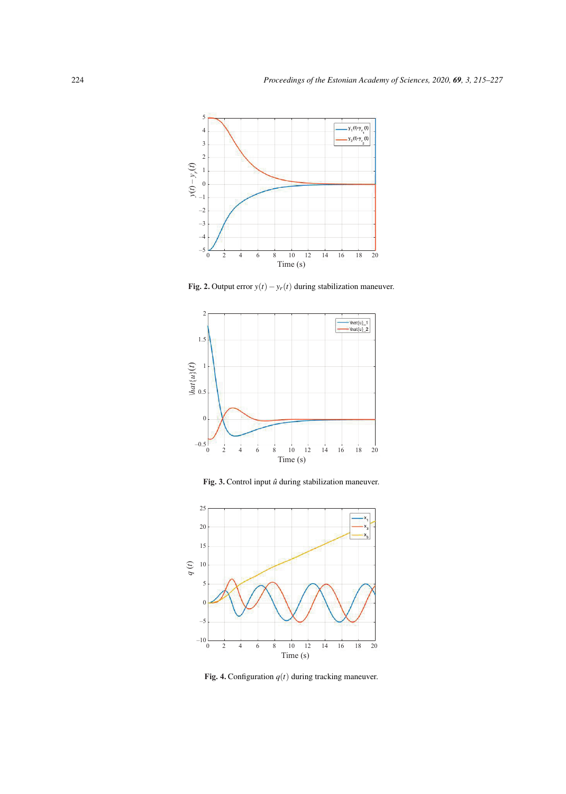

Fig. 2. Output error  $y(t) - y_r(t)$  during stabilization maneuver.



Fig. 3. Control input  $\hat{u}$  during stabilization maneuver.



Fig. 4. Configuration  $q(t)$  during tracking maneuver.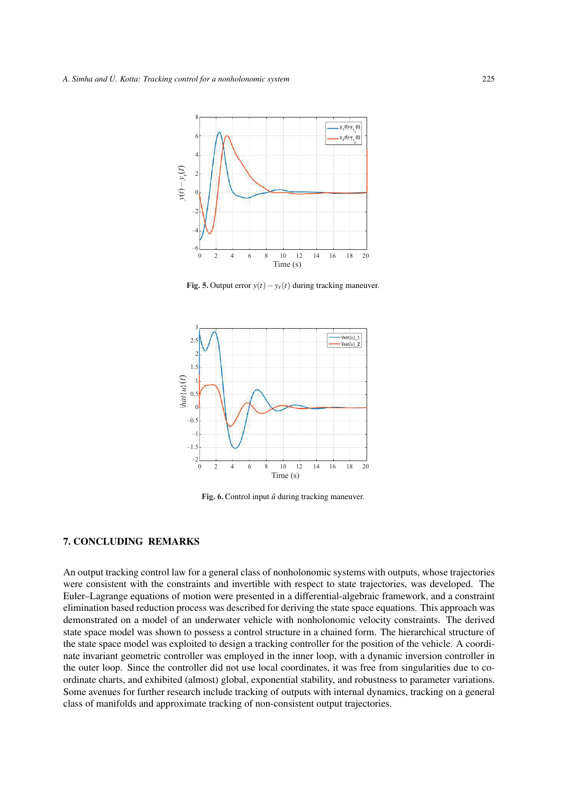

**Fig. 5.** Output error  $y(t) - y_r(t)$  during tracking maneuver.



Fig. 6. Control input  $\hat{u}$  during tracking maneuver.

#### 7. CONCLUDING REMARKS

An output tracking control law for a general class of nonholonomic systems with outputs, whose trajectories were consistent with the constraints and invertible with respect to state trajectories, was developed. The Euler–Lagrange equations of motion were presented in a differential-algebraic framework, and a constraint elimination based reduction process was described for deriving the state space equations. This approach was demonstrated on a model of an underwater vehicle with nonholonomic velocity constraints. The derived state space model was shown to possess a control structure in a chained form. The hierarchical structure of the state space model was exploited to design a tracking controller for the position of the vehicle. A coordinate invariant geometric controller was employed in the inner loop, with a dynamic inversion controller in the outer loop. Since the controller did not use local coordinates, it was free from singularities due to coordinate charts, and exhibited (almost) global, exponential stability, and robustness to parameter variations. Some avenues for further research include tracking of outputs with internal dynamics, tracking on a general class of manifolds and approximate tracking of non-consistent output trajectories.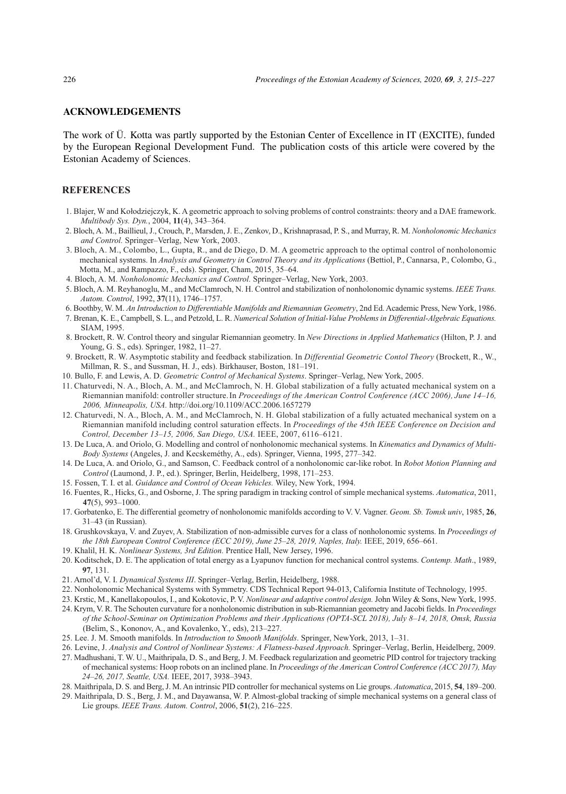#### **ACKNOWLEDGEMENTS**

The work of U. Kotta was partly supported by the Estonian Center of Excellence in IT (EXCITE), funded by the European Regional Development Fund. The publication costs of this article were covered by the Estonian Academy of Sciences.

## **REFERENCES**

- Geomeetriline lahenemine mitteholonoomse allvees ¨ oiduki asendi trajektoori j ˜ argimiseks ¨ 1. Blajer, W and Kołodziejczyk, K. A geometric approach to solving problems of control constraints: theory and a DAE framework.<br>Multibody Sys. Dyn., 2004, 11(4), 343–364.
- and Control. Springer–Verlag, New York, 2003. *Multibody Sys. Dyn.*, 2004, **11**(4), 343–364. 2. Bloch, A. M., Baillieul, J., Crouch, P., Marsden, J. E., Zenkov, D., Krishnaprasad, P. S., and Murray, R. M. *Nonholonomic Mechanics*
- 3. Bloch, A. M., Colombo, L., Gupta, R., and de Diego, D. M. A geometric approach to the optimal control of nonholonomic mechanical systems. In Analysis and Geometry in Control Theory and its Applications (Bettiol, P., Cannarsa, P., Colombo, G.,<br>Motta M, and Bampazzo E, eds), Springer Cham 2015, 35–64 Motta, M., and Rampazzo, F., eds). Springer, Cham, 2015, 35–64.
- mina. Sellest esitetatud madalamat jarku klassikalised oleh oleh peringer. See see see see see see 14.<br>4. Bloch, A. M. *Nonholonomic Mechanics and Control*. Springer–Verlag, New York, 2003.
- 5. Bloch, A. M. Reyhanoglu, M., and McClamroch, N. H. Control and stabilization of nonholonomic dynamic systems. IEEE Trans.
- Autom. Control, 1992, 37(11), 1746-1757.<br>6. Boothby, W. M. An Introduction to Differentiable Manifolds and Riemannian Geometry, 2nd Ed. Academic Press, New York, 1986.
- 0. Boothoy, W. M. *An Introduction to Differentiable Manifolds and Klemannian Geometry*, 2nd Ed. Academic Press, New York, 1960.<br>7. Brenan, K. E., Campbell, S. L., and Petzold, L. R. *Numerical Solution of Initial-Value Pr* SIAM, 1995.
- 8. Brockett, R. W. Control theory and singular Riemannian geometry. In *New Directions in Applied Mathematics* (Hilton, P. J. and Young, G. S., eds). Springer, 1982, 11–27.
- 9. Brockett, R. W. Asymptotic stability and feedback stabilization. In *Differential Geometric Contol Theory* (Brockett, R., W., Millman, R. S., and Sussman, H. J., eds). Birkhauser, Boston, 181–191.
- 10. Bullo, F. and Lewis, A. D. *Geometric Control of Mechanical Systems*. Springer–Verlag, New York, 2005.
- 11. Chaturvedi, N. A., Bloch, A. M., and McClamroch, N. H. Global stabilization of a fully actuated mechanical system on a Riemannian manifold: controller structure. In *Proceedings of the American Control Conference (ACC 2006), June 14–16, 2006, Minneapolis, USA.* http://doi.org/10.1109/ACC.2006.1657279
- 12. Chaturvedi, N. A., Bloch, A. M., and McClamroch, N. H. Global stabilization of a fully actuated mechanical system on a Riemannian manifold including control saturation effects. In *Proceedings of the 45th IEEE Conference on Decision and Control, December 13–15, 2006, San Diego, USA.* IEEE, 2007, 6116–6121.
- 13. De Luca, A. and Oriolo, G. Modelling and control of nonholonomic mechanical systems. In *Kinematics and Dynamics of Multi- Body Systems* (Angeles, J. and Kecskeméthy, A., eds). Springer, Vienna, 1995, 277–342.
- 14. De Luca, A. and Oriolo, G., and Samson, C. Feedback control of a nonholonomic carlike robot. In *Robot Motion Planning and Control* (Laumond, J. P., ed.). Springer, Berlin, Heidelberg, 1998, 171–253.
- 15. Fossen, T. I. et al. *Guidance and Control of Ocean Vehicles.* Wiley, New York, 1994.
- 16. Fuentes, R., Hicks, G., and Osborne, J. The spring paradigm in tracking control of simple mechanical systems. *Automatica*, 2011, **47**(5), 993–1000.
- 17. Gorbatenko, E. The differential geometry of nonholonomic manifolds according to V. V. Vagner. *Geom. Sb. Tomsk univ*, 1985, **26**, 31–43 (in Russian).
- 18. Grushkovskaya, V. and Zuyev, A. Stabilization of nonadmissible curves for a class of nonholonomic systems. In *Proceedings of the 18th European Control Conference (ECC 2019), June 25–28, 2019, Naples, Italy.* IEEE, 2019, 656–661.
- 19. Khalil, H. K. *Nonlinear Systems, 3rd Edition.* Prentice Hall, New Jersey, 1996.
- 20. Koditschek, D. E. The application of total energy as a Lyapunov function for mechanical control systems. *Contemp. Math*., 1989, **97**, 131. 21. Arnol'd, V. I. *Dynamical Systems III*. Springer–Verlag, Berlin, Heidelberg, 1988.
- 
- 22. Nonholonomic Mechanical Systems with Symmetry. CDS Technical Report 94013, California Institute of Technology, 1995.
- 23. Krstic, M., Kanellakopoulos, I., and Kokotovic, P. V. *Nonlinear and adaptive control design.* John Wiley & Sons, New York, 1995.
- 24. Krym, V. R. The Schouten curvature for a nonholonomic distribution in sub-Riemannian geometry and Jacobi fields. In *Proceedings of the School-Seminar on Optimization Problems and their Applications (OPTA-SCL 2018), July 8–14, 2018, Omsk, Russia* (Belim, S., Kononov, A., and Kovalenko, Y., eds), 213–227.
- 25. Lee. J. M. Smooth manifolds. In *Introduction to Smooth Manifolds*. Springer, NewYork, 2013, 1–31.
- 26. Levine, J. *Analysis and Control of Nonlinear Systems: A Flatness-based Approach.* Springer–Verlag, Berlin, Heidelberg, 2009.
- 27. Madhushani, T. W. U., Maithripala, D. S., and Berg, J. M. Feedback regularization and geometric PID control for trajectory tracking of mechanical systems: Hoop robots on an inclined plane. In *Proceedings of the American Control Conference (ACC 2017), May 24–26, 2017, Seattle, USA.* IEEE, 2017, 3938–3943.
- 28. Maithripala, D. S. and Berg, J. M. An intrinsic PID controller for mechanical systems on Lie groups. *Automatica*, 2015, **54**, 189–200.
- 29. Maithripala, D. S., Berg, J. M., and Dayawansa, W. P. Almost-global tracking of simple mechanical systems on a general class of Lie groups. *IEEE Trans. Autom. Control*, 2006, **51**(2), 216–225.